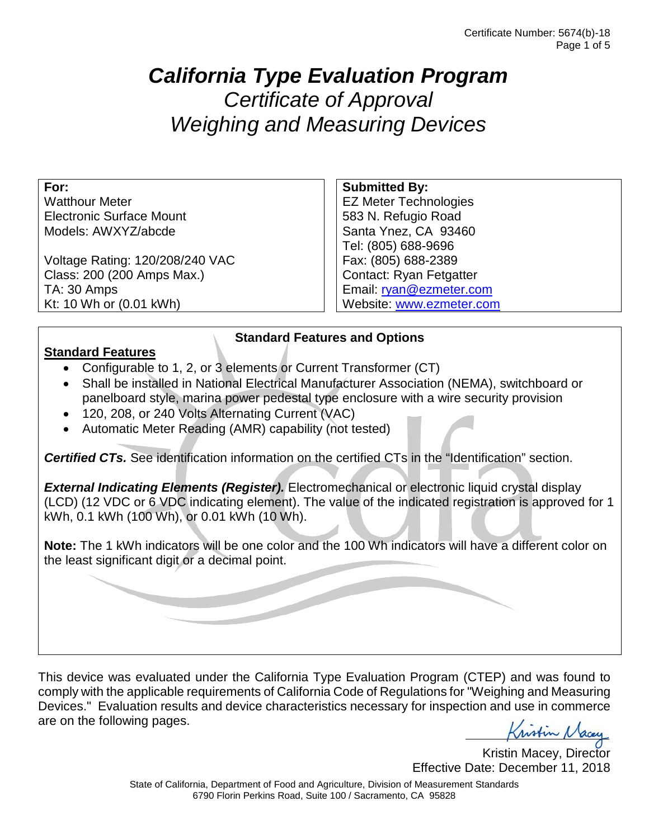# *California Type Evaluation Program Certificate of Approval Weighing and Measuring Devices*

**For:**

Watthour Meter Electronic Surface Mount Models: AWXYZ/abcde

Voltage Rating: 120/208/240 VAC Class: 200 (200 Amps Max.) TA: 30 Amps Kt: 10 Wh or (0.01 kWh)

#### **Submitted By:**

EZ Meter Technologies 583 N. Refugio Road Santa Ynez, CA 93460 Tel: (805) 688-9696 Fax: (805) 688-2389 Contact: Ryan Fetgatter Email: [ryan@ezmeter.com](mailto:ryan@ezmeter.com) Website: [www.ezmeter.com](http://www.ezmeter.com/)

#### **Standard Features**

- Configurable to 1, 2, or 3 elements or Current Transformer (CT)
- Shall be installed in National Electrical Manufacturer Association (NEMA), switchboard or panelboard style, marina power pedestal type enclosure with a wire security provision

**Standard Features and Options**

- 120, 208, or 240 Volts Alternating Current (VAC)
- Automatic Meter Reading (AMR) capability (not tested)

**Certified CTs.** See identification information on the certified CTs in the "Identification" section.

*External Indicating Elements (Register).* Electromechanical or electronic liquid crystal display (LCD) (12 VDC or 6 VDC indicating element). The value of the indicated registration is approved for 1 kWh, 0.1 kWh (100 Wh), or 0.01 kWh (10 Wh).

**Note:** The 1 kWh indicators will be one color and the 100 Wh indicators will have a different color on the least significant digit or a decimal point.

This device was evaluated under the California Type Evaluation Program (CTEP) and was found to comply with the applicable requirements of California Code of Regulations for "Weighing and Measuring Devices." Evaluation results and device characteristics necessary for inspection and use in commerce are on the following pages.

Kristin Macey

Kristin Macey, Director Effective Date: December 11, 2018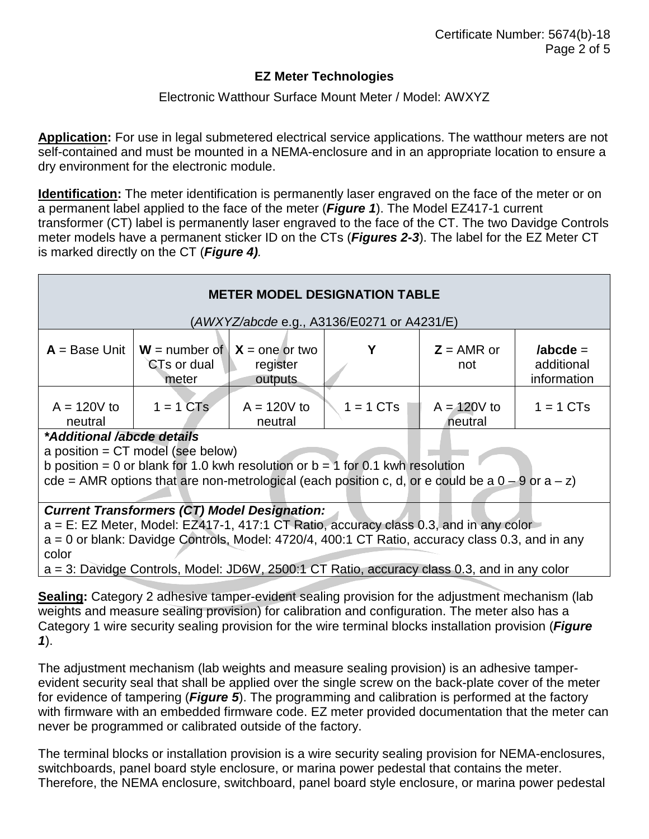#### Electronic Watthour Surface Mount Meter / Model: AWXYZ

**Application:** For use in legal submetered electrical service applications. The watthour meters are not self-contained and must be mounted in a NEMA-enclosure and in an appropriate location to ensure a dry environment for the electronic module.

**Identification:** The meter identification is permanently laser engraved on the face of the meter or on a permanent label applied to the face of the meter (*Figure 1*). The Model EZ417-1 current transformer (CT) label is permanently laser engraved to the face of the CT. The two Davidge Controls meter models have a permanent sticker ID on the CTs (*Figures 2-3*). The label for the EZ Meter CT is marked directly on the CT (*Figure 4).*

| <b>METER MODEL DESIGNATION TABLE</b>                                                                                                                                                                                                                                                                                                                            |                                                          |                          |                       |                          |                                         |
|-----------------------------------------------------------------------------------------------------------------------------------------------------------------------------------------------------------------------------------------------------------------------------------------------------------------------------------------------------------------|----------------------------------------------------------|--------------------------|-----------------------|--------------------------|-----------------------------------------|
| (AWXYZ/abcde e.g., A3136/E0271 or A4231/E)                                                                                                                                                                                                                                                                                                                      |                                                          |                          |                       |                          |                                         |
| $A = Base Unit$                                                                                                                                                                                                                                                                                                                                                 | $W =$ number of $X =$ one or two<br>CTs or dual<br>meter | register<br>outputs      |                       | $Z = AMR$ or<br>not      | $/abcde =$<br>additional<br>information |
| $A = 120V$ to<br>neutral                                                                                                                                                                                                                                                                                                                                        | $1 = 1$ CTs                                              | $A = 120V$ to<br>neutral | $1 = 1 \, \text{CTs}$ | $A = 120V$ to<br>neutral | $1 = 1 \, \text{CTs}$                   |
| *Additional /abcde details<br>a position = $CT$ model (see below)<br>b position = 0 or blank for 1.0 kwh resolution or $b = 1$ for 0.1 kwh resolution<br>cde = AMR options that are non-metrological (each position c, d, or e could be a $0 - 9$ or a $- z$ )                                                                                                  |                                                          |                          |                       |                          |                                         |
| <b>Current Transformers (CT) Model Designation:</b><br>$a = E$ : EZ Meter, Model: EZ417-1, 417:1 CT Ratio, accuracy class 0.3, and in any color<br>$a = 0$ or blank: Davidge Controls, Model: 4720/4, 400:1 CT Ratio, accuracy class 0.3, and in any<br>color<br>$a = 3$ : Davidge Controls, Model: JD6W, 2500:1 CT Ratio, accuracy class 0.3, and in any color |                                                          |                          |                       |                          |                                         |
| Sealing: Category 2 adhesive tamper-evident sealing provision for the adjustment mechanism (lab<br>woights and monsure sogling provision) for solibration and configuration. The motor also has a                                                                                                                                                               |                                                          |                          |                       |                          |                                         |

weights and measure sealing provision) for calibration and configuration. The meter also has a Category 1 wire security sealing provision for the wire terminal blocks installation provision (*Figure 1*).

The adjustment mechanism (lab weights and measure sealing provision) is an adhesive tamperevident security seal that shall be applied over the single screw on the back-plate cover of the meter for evidence of tampering (*Figure 5*). The programming and calibration is performed at the factory with firmware with an embedded firmware code. EZ meter provided documentation that the meter can never be programmed or calibrated outside of the factory.

The terminal blocks or installation provision is a wire security sealing provision for NEMA-enclosures, switchboards, panel board style enclosure, or marina power pedestal that contains the meter. Therefore, the NEMA enclosure, switchboard, panel board style enclosure, or marina power pedestal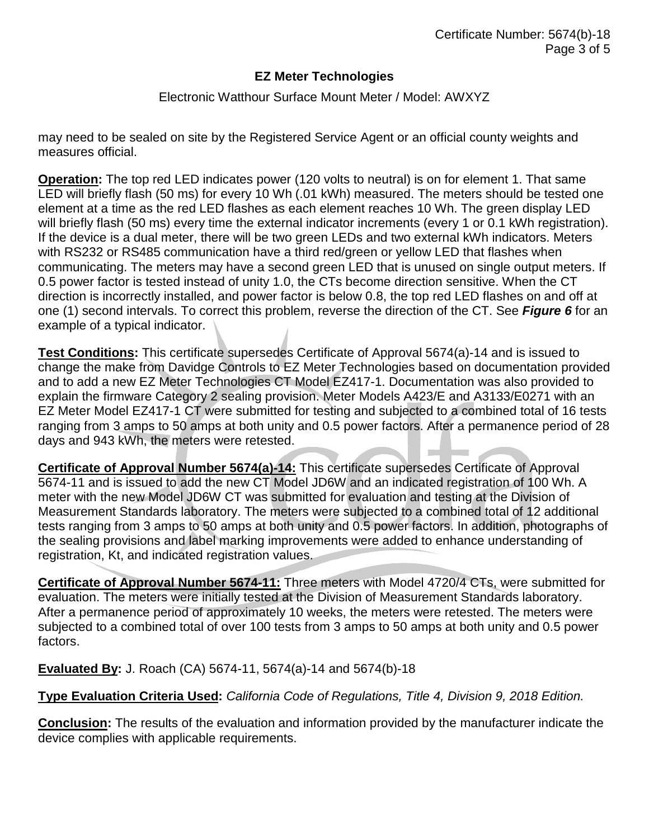#### Electronic Watthour Surface Mount Meter / Model: AWXYZ

may need to be sealed on site by the Registered Service Agent or an official county weights and measures official.

**Operation:** The top red LED indicates power (120 volts to neutral) is on for element 1. That same LED will briefly flash (50 ms) for every 10 Wh (.01 kWh) measured. The meters should be tested one element at a time as the red LED flashes as each element reaches 10 Wh. The green display LED will briefly flash (50 ms) every time the external indicator increments (every 1 or 0.1 kWh registration). If the device is a dual meter, there will be two green LEDs and two external kWh indicators. Meters with RS232 or RS485 communication have a third red/green or yellow LED that flashes when communicating. The meters may have a second green LED that is unused on single output meters. If 0.5 power factor is tested instead of unity 1.0, the CTs become direction sensitive. When the CT direction is incorrectly installed, and power factor is below 0.8, the top red LED flashes on and off at one (1) second intervals. To correct this problem, reverse the direction of the CT. See *Figure 6* for an example of a typical indicator.

**Test Conditions:** This certificate supersedes Certificate of Approval 5674(a)-14 and is issued to change the make from Davidge Controls to EZ Meter Technologies based on documentation provided and to add a new EZ Meter Technologies CT Model EZ417-1. Documentation was also provided to explain the firmware Category 2 sealing provision. Meter Models A423/E and A3133/E0271 with an EZ Meter Model EZ417-1 CT were submitted for testing and subjected to a combined total of 16 tests ranging from 3 amps to 50 amps at both unity and 0.5 power factors. After a permanence period of 28 days and 943 kWh, the meters were retested.

**Certificate of Approval Number 5674(a)-14:** This certificate supersedes Certificate of Approval 5674-11 and is issued to add the new CT Model JD6W and an indicated registration of 100 Wh. A meter with the new Model JD6W CT was submitted for evaluation and testing at the Division of Measurement Standards laboratory. The meters were subjected to a combined total of 12 additional tests ranging from 3 amps to 50 amps at both unity and 0.5 power factors. In addition, photographs of the sealing provisions and label marking improvements were added to enhance understanding of registration, Kt, and indicated registration values.

**Certificate of Approval Number 5674-11:** Three meters with Model 4720/4 CTs, were submitted for evaluation. The meters were initially tested at the Division of Measurement Standards laboratory. After a permanence period of approximately 10 weeks, the meters were retested. The meters were subjected to a combined total of over 100 tests from 3 amps to 50 amps at both unity and 0.5 power factors.

**Evaluated By:** J. Roach (CA) 5674-11, 5674(a)-14 and 5674(b)-18

**Type Evaluation Criteria Used:** *California Code of Regulations, Title 4, Division 9, 2018 Edition.*

**Conclusion:** The results of the evaluation and information provided by the manufacturer indicate the device complies with applicable requirements.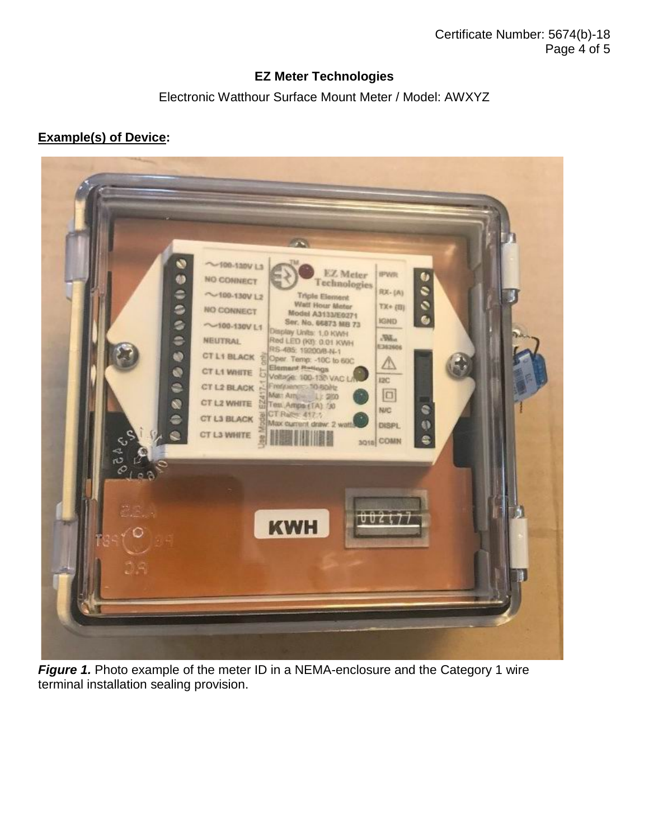Electronic Watthour Surface Mount Meter / Model: AWXYZ

### **Example(s) of Device:**



**Figure 1.** Photo example of the meter ID in a NEMA-enclosure and the Category 1 wire terminal installation sealing provision.